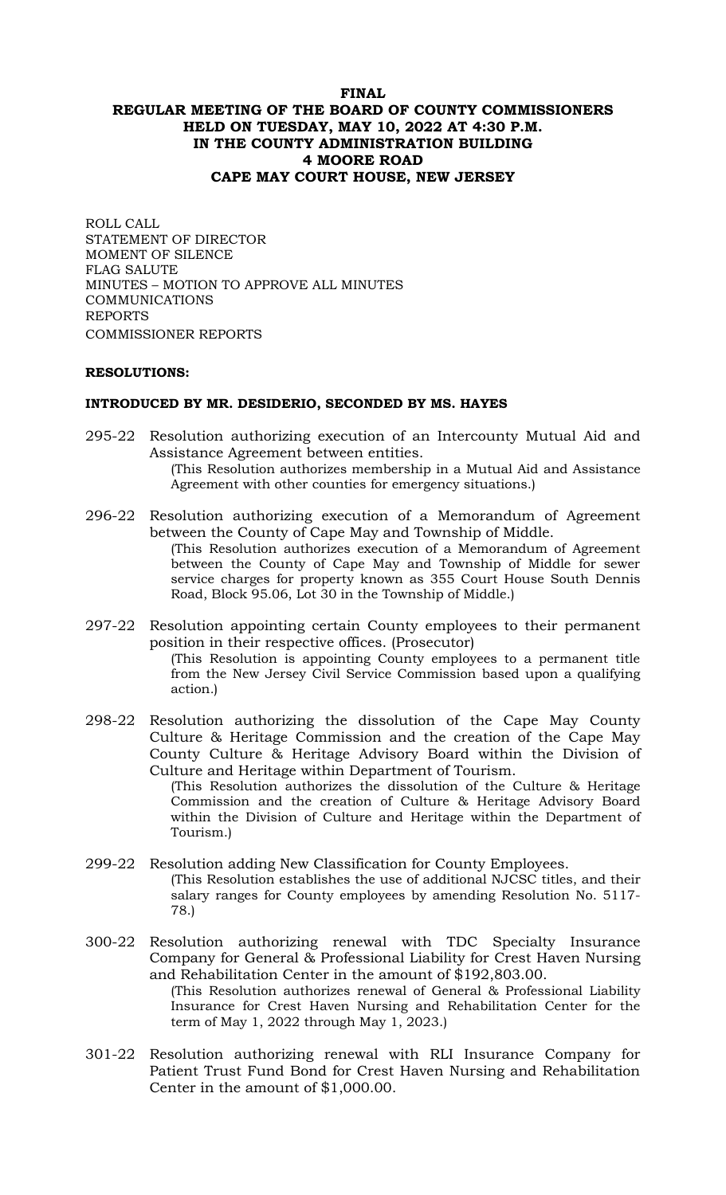### **FINAL REGULAR MEETING OF THE BOARD OF COUNTY COMMISSIONERS HELD ON TUESDAY, MAY 10, 2022 AT 4:30 P.M. IN THE COUNTY ADMINISTRATION BUILDING 4 MOORE ROAD CAPE MAY COURT HOUSE, NEW JERSEY**

ROLL CALL STATEMENT OF DIRECTOR MOMENT OF SILENCE FLAG SALUTE MINUTES – MOTION TO APPROVE ALL MINUTES **COMMUNICATIONS** REPORTS COMMISSIONER REPORTS

#### **RESOLUTIONS:**

#### **INTRODUCED BY MR. DESIDERIO, SECONDED BY MS. HAYES**

- 295-22 Resolution authorizing execution of an Intercounty Mutual Aid and Assistance Agreement between entities. (This Resolution authorizes membership in a Mutual Aid and Assistance Agreement with other counties for emergency situations.)
- 296-22 Resolution authorizing execution of a Memorandum of Agreement between the County of Cape May and Township of Middle. (This Resolution authorizes execution of a Memorandum of Agreement between the County of Cape May and Township of Middle for sewer service charges for property known as 355 Court House South Dennis Road, Block 95.06, Lot 30 in the Township of Middle.)
- 297-22 Resolution appointing certain County employees to their permanent position in their respective offices. (Prosecutor) (This Resolution is appointing County employees to a permanent title from the New Jersey Civil Service Commission based upon a qualifying action*.*)
- 298-22 Resolution authorizing the dissolution of the Cape May County Culture & Heritage Commission and the creation of the Cape May County Culture & Heritage Advisory Board within the Division of Culture and Heritage within Department of Tourism.

(This Resolution authorizes the dissolution of the Culture & Heritage Commission and the creation of Culture & Heritage Advisory Board within the Division of Culture and Heritage within the Department of Tourism.)

- 299-22 Resolution adding New Classification for County Employees. (This Resolution establishes the use of additional NJCSC titles, and their salary ranges for County employees by amending Resolution No. 5117- 78.)
- 300-22 Resolution authorizing renewal with TDC Specialty Insurance Company for General & Professional Liability for Crest Haven Nursing and Rehabilitation Center in the amount of \$192,803.00.

(This Resolution authorizes renewal of General & Professional Liability Insurance for Crest Haven Nursing and Rehabilitation Center for the term of May 1, 2022 through May 1, 2023.)

301-22 Resolution authorizing renewal with RLI Insurance Company for Patient Trust Fund Bond for Crest Haven Nursing and Rehabilitation Center in the amount of \$1,000.00.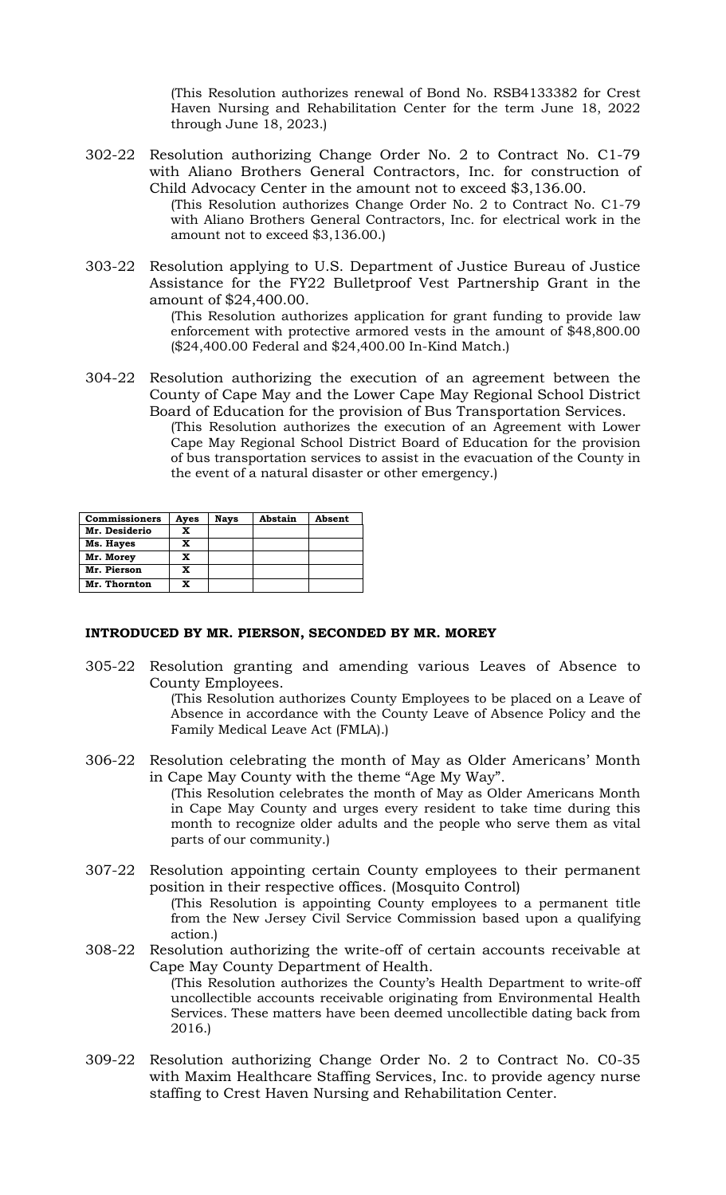(This Resolution authorizes renewal of Bond No. RSB4133382 for Crest Haven Nursing and Rehabilitation Center for the term June 18, 2022 through June 18, 2023.)

- 302-22 Resolution authorizing Change Order No. 2 to Contract No. C1-79 with Aliano Brothers General Contractors, Inc. for construction of Child Advocacy Center in the amount not to exceed \$3,136.00. (This Resolution authorizes Change Order No. 2 to Contract No. C1-79 with Aliano Brothers General Contractors, Inc. for electrical work in the amount not to exceed \$3,136.00.)
- 303-22 Resolution applying to U.S. Department of Justice Bureau of Justice Assistance for the FY22 Bulletproof Vest Partnership Grant in the amount of \$24,400.00.

(This Resolution authorizes application for grant funding to provide law enforcement with protective armored vests in the amount of \$48,800.00 (\$24,400.00 Federal and \$24,400.00 In-Kind Match.)

304-22 Resolution authorizing the execution of an agreement between the County of Cape May and the Lower Cape May Regional School District Board of Education for the provision of Bus Transportation Services. (This Resolution authorizes the execution of an Agreement with Lower Cape May Regional School District Board of Education for the provision of bus transportation services to assist in the evacuation of the County in the event of a natural disaster or other emergency.)

| <b>Commissioners</b> | Ayes | <b>Nays</b> | Abstain | Absent |
|----------------------|------|-------------|---------|--------|
| Mr. Desiderio        | x    |             |         |        |
| Ms. Hayes            | X    |             |         |        |
| Mr. Morey            | x    |             |         |        |
| Mr. Pierson          | x    |             |         |        |
| Mr. Thornton         | x    |             |         |        |

#### **INTRODUCED BY MR. PIERSON, SECONDED BY MR. MOREY**

305-22 Resolution granting and amending various Leaves of Absence to County Employees.

(This Resolution authorizes County Employees to be placed on a Leave of Absence in accordance with the County Leave of Absence Policy and the Family Medical Leave Act (FMLA).)

306-22 Resolution celebrating the month of May as Older Americans' Month in Cape May County with the theme "Age My Way".

(This Resolution celebrates the month of May as Older Americans Month in Cape May County and urges every resident to take time during this month to recognize older adults and the people who serve them as vital parts of our community.)

- 307-22 Resolution appointing certain County employees to their permanent position in their respective offices. (Mosquito Control) (This Resolution is appointing County employees to a permanent title from the New Jersey Civil Service Commission based upon a qualifying action*.*)
- 308-22 Resolution authorizing the write-off of certain accounts receivable at Cape May County Department of Health. (This Resolution authorizes the County's Health Department to write-off uncollectible accounts receivable originating from Environmental Health Services. These matters have been deemed uncollectible dating back from 2016.)
- 309-22 Resolution authorizing Change Order No. 2 to Contract No. C0-35 with Maxim Healthcare Staffing Services, Inc. to provide agency nurse staffing to Crest Haven Nursing and Rehabilitation Center.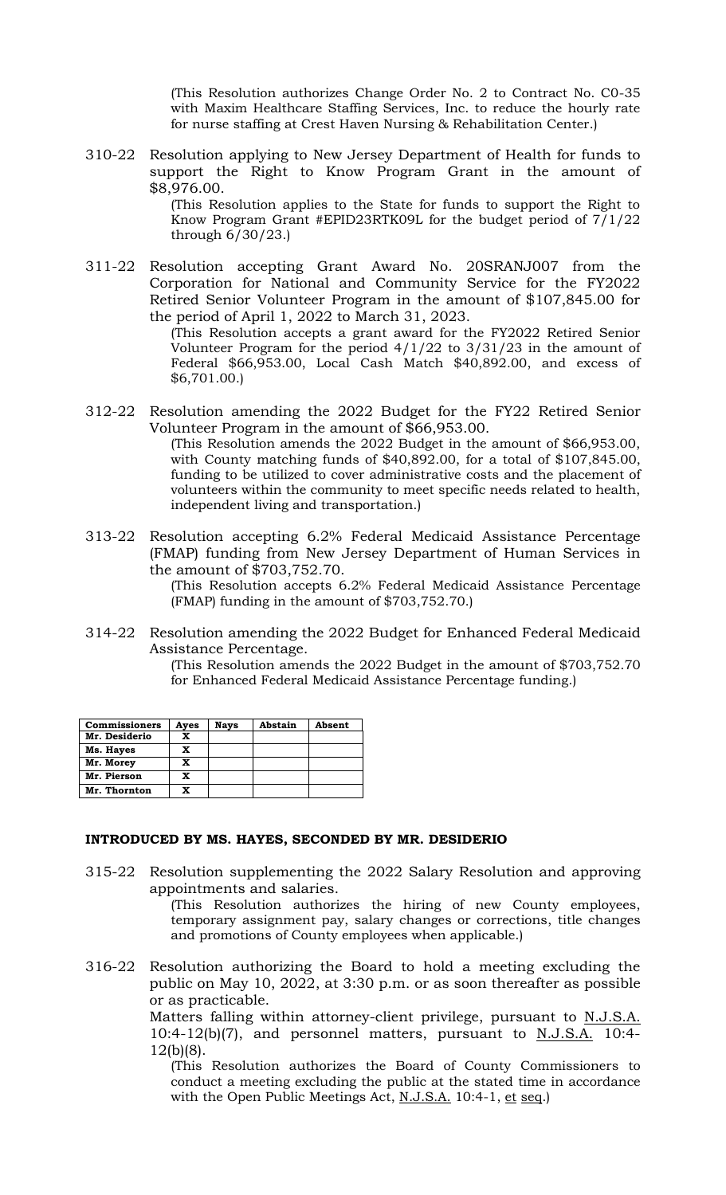(This Resolution authorizes Change Order No. 2 to Contract No. C0-35 with Maxim Healthcare Staffing Services, Inc. to reduce the hourly rate for nurse staffing at Crest Haven Nursing & Rehabilitation Center.)

310-22 Resolution applying to New Jersey Department of Health for funds to support the Right to Know Program Grant in the amount of \$8,976.00.

(This Resolution applies to the State for funds to support the Right to Know Program Grant #EPID23RTK09L for the budget period of 7/1/22 through 6/30/23.)

311-22 Resolution accepting Grant Award No. 20SRANJ007 from the Corporation for National and Community Service for the FY2022 Retired Senior Volunteer Program in the amount of \$107,845.00 for the period of April 1, 2022 to March 31, 2023.

(This Resolution accepts a grant award for the FY2022 Retired Senior Volunteer Program for the period  $4/1/22$  to  $3/31/23$  in the amount of Federal \$66,953.00, Local Cash Match \$40,892.00, and excess of \$6,701.00.)

312-22 Resolution amending the 2022 Budget for the FY22 Retired Senior Volunteer Program in the amount of \$66,953.00.

(This Resolution amends the 2022 Budget in the amount of \$66,953.00, with County matching funds of \$40,892.00, for a total of \$107,845.00, funding to be utilized to cover administrative costs and the placement of volunteers within the community to meet specific needs related to health, independent living and transportation.)

313-22 Resolution accepting 6.2% Federal Medicaid Assistance Percentage (FMAP) funding from New Jersey Department of Human Services in the amount of \$703,752.70.

(This Resolution accepts 6.2% Federal Medicaid Assistance Percentage (FMAP) funding in the amount of \$703,752.70.)

314-22 Resolution amending the 2022 Budget for Enhanced Federal Medicaid Assistance Percentage.

(This Resolution amends the 2022 Budget in the amount of \$703,752.70 for Enhanced Federal Medicaid Assistance Percentage funding.)

| <b>Commissioners</b> | Ayes | <b>Nays</b> | Abstain | Absent |
|----------------------|------|-------------|---------|--------|
| Mr. Desiderio        | x    |             |         |        |
| Ms. Hayes            | x    |             |         |        |
| Mr. Morey            | x    |             |         |        |
| Mr. Pierson          | x    |             |         |        |
| Mr. Thornton         | x    |             |         |        |

#### **INTRODUCED BY MS. HAYES, SECONDED BY MR. DESIDERIO**

315-22 Resolution supplementing the 2022 Salary Resolution and approving appointments and salaries.

(This Resolution authorizes the hiring of new County employees, temporary assignment pay, salary changes or corrections, title changes and promotions of County employees when applicable.)

316-22 Resolution authorizing the Board to hold a meeting excluding the public on May 10, 2022, at 3:30 p.m. or as soon thereafter as possible or as practicable.

> Matters falling within attorney-client privilege, pursuant to N.J.S.A. 10:4-12(b)(7), and personnel matters, pursuant to  $N.J.S.A.$  10:4-12(b)(8).

(This Resolution authorizes the Board of County Commissioners to conduct a meeting excluding the public at the stated time in accordance with the Open Public Meetings Act, N.J.S.A. 10:4-1, et seq.)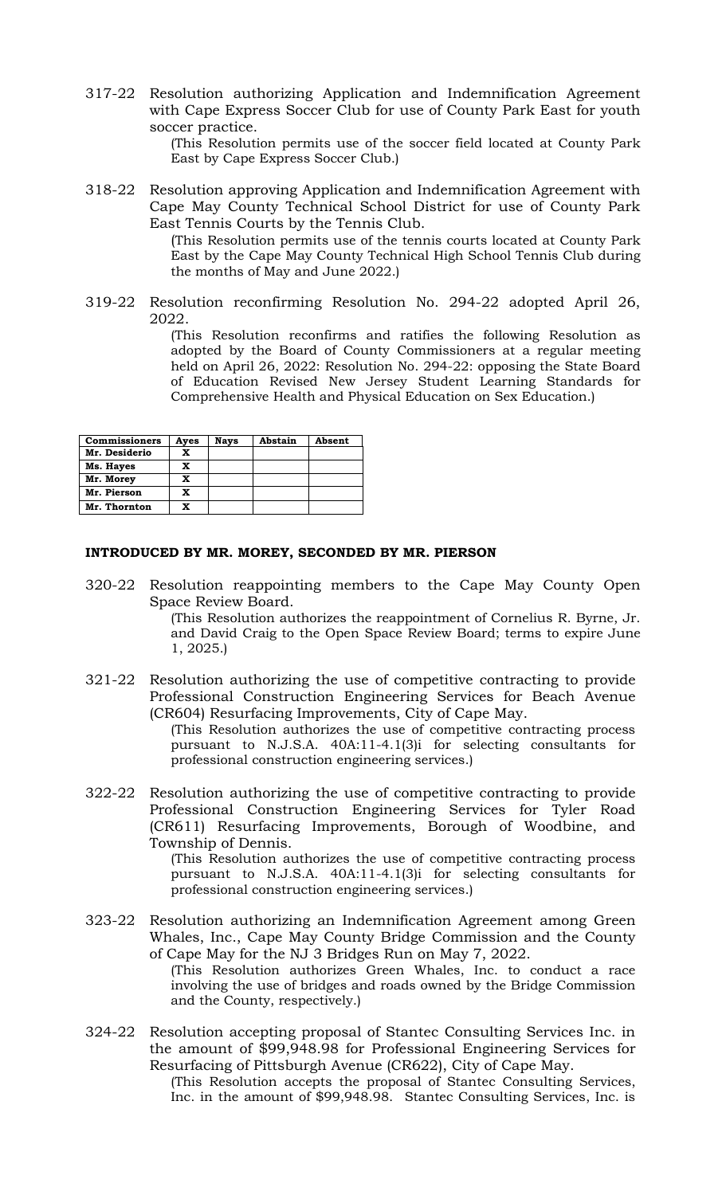317-22 Resolution authorizing Application and Indemnification Agreement with Cape Express Soccer Club for use of County Park East for youth soccer practice.

(This Resolution permits use of the soccer field located at County Park East by Cape Express Soccer Club.)

318-22 Resolution approving Application and Indemnification Agreement with Cape May County Technical School District for use of County Park East Tennis Courts by the Tennis Club.

> (This Resolution permits use of the tennis courts located at County Park East by the Cape May County Technical High School Tennis Club during the months of May and June 2022.)

319-22 Resolution reconfirming Resolution No. 294-22 adopted April 26, 2022.

> (This Resolution reconfirms and ratifies the following Resolution as adopted by the Board of County Commissioners at a regular meeting held on April 26, 2022: Resolution No. 294-22: opposing the State Board of Education Revised New Jersey Student Learning Standards for Comprehensive Health and Physical Education on Sex Education.)

| <b>Commissioners</b> | Ayes | <b>Nays</b> | Abstain | Absent |
|----------------------|------|-------------|---------|--------|
| Mr. Desiderio        | x    |             |         |        |
| Ms. Hayes            | x    |             |         |        |
| Mr. Morey            | x    |             |         |        |
| Mr. Pierson          | x    |             |         |        |
| Mr. Thornton         | x    |             |         |        |

#### **INTRODUCED BY MR. MOREY, SECONDED BY MR. PIERSON**

320-22 Resolution reappointing members to the Cape May County Open Space Review Board.

> (This Resolution authorizes the reappointment of Cornelius R. Byrne, Jr. and David Craig to the Open Space Review Board; terms to expire June 1, 2025.)

321-22 Resolution authorizing the use of competitive contracting to provide Professional Construction Engineering Services for Beach Avenue (CR604) Resurfacing Improvements, City of Cape May.

(This Resolution authorizes the use of competitive contracting process pursuant to N.J.S.A. 40A:11-4.1(3)i for selecting consultants for professional construction engineering services.)

322-22 Resolution authorizing the use of competitive contracting to provide Professional Construction Engineering Services for Tyler Road (CR611) Resurfacing Improvements, Borough of Woodbine, and Township of Dennis.

> (This Resolution authorizes the use of competitive contracting process pursuant to N.J.S.A. 40A:11-4.1(3)i for selecting consultants for professional construction engineering services.)

323-22 Resolution authorizing an Indemnification Agreement among Green Whales, Inc., Cape May County Bridge Commission and the County of Cape May for the NJ 3 Bridges Run on May 7, 2022.

(This Resolution authorizes Green Whales, Inc. to conduct a race involving the use of bridges and roads owned by the Bridge Commission and the County, respectively.)

324-22 Resolution accepting proposal of Stantec Consulting Services Inc. in the amount of \$99,948.98 for Professional Engineering Services for Resurfacing of Pittsburgh Avenue (CR622), City of Cape May.

(This Resolution accepts the proposal of Stantec Consulting Services, Inc. in the amount of \$99,948.98. Stantec Consulting Services, Inc. is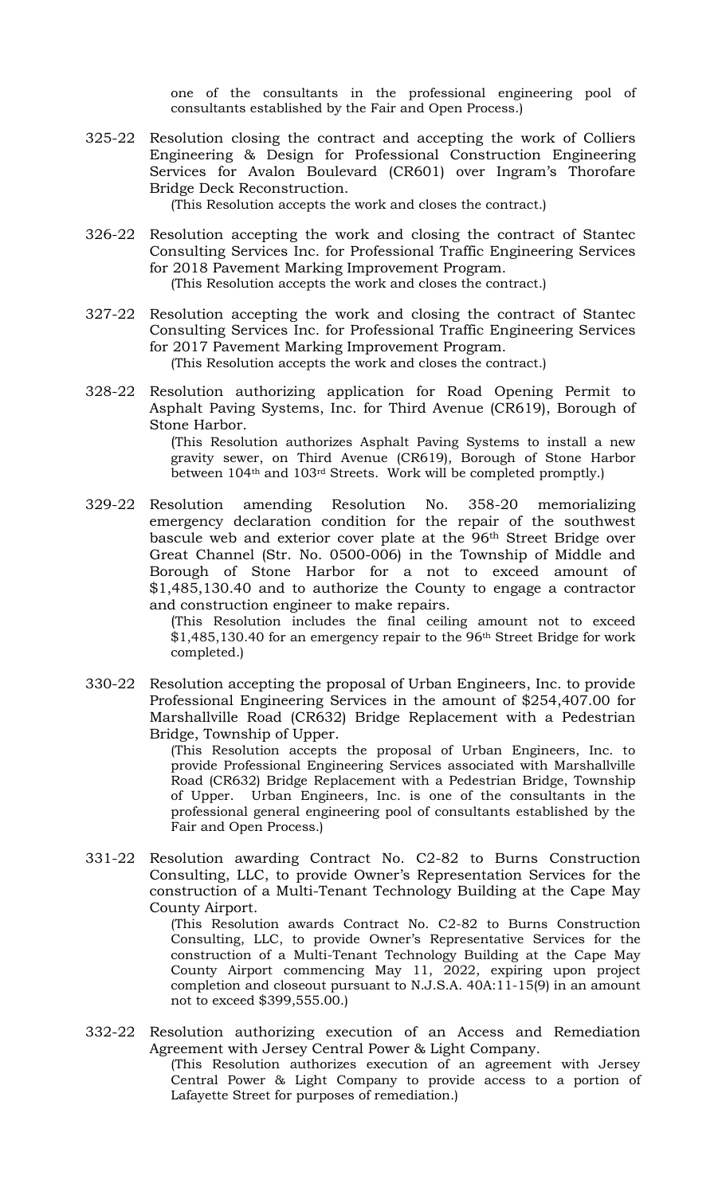one of the consultants in the professional engineering pool of consultants established by the Fair and Open Process.)

325-22 Resolution closing the contract and accepting the work of Colliers Engineering & Design for Professional Construction Engineering Services for Avalon Boulevard (CR601) over Ingram's Thorofare Bridge Deck Reconstruction.

(This Resolution accepts the work and closes the contract.)

- 326-22 Resolution accepting the work and closing the contract of Stantec Consulting Services Inc. for Professional Traffic Engineering Services for 2018 Pavement Marking Improvement Program. (This Resolution accepts the work and closes the contract.)
- 327-22 Resolution accepting the work and closing the contract of Stantec Consulting Services Inc. for Professional Traffic Engineering Services for 2017 Pavement Marking Improvement Program.

(This Resolution accepts the work and closes the contract.)

328-22 Resolution authorizing application for Road Opening Permit to Asphalt Paving Systems, Inc. for Third Avenue (CR619), Borough of Stone Harbor.

> (This Resolution authorizes Asphalt Paving Systems to install a new gravity sewer, on Third Avenue (CR619), Borough of Stone Harbor between 104th and 103rd Streets. Work will be completed promptly.)

329-22 Resolution amending Resolution No. 358-20 memorializing emergency declaration condition for the repair of the southwest bascule web and exterior cover plate at the 96th Street Bridge over Great Channel (Str. No. 0500-006) in the Township of Middle and Borough of Stone Harbor for a not to exceed amount of \$1,485,130.40 and to authorize the County to engage a contractor and construction engineer to make repairs.

> (This Resolution includes the final ceiling amount not to exceed \$1,485,130.40 for an emergency repair to the 96th Street Bridge for work completed.)

330-22 Resolution accepting the proposal of Urban Engineers, Inc. to provide Professional Engineering Services in the amount of \$254,407.00 for Marshallville Road (CR632) Bridge Replacement with a Pedestrian Bridge, Township of Upper.

> (This Resolution accepts the proposal of Urban Engineers, Inc. to provide Professional Engineering Services associated with Marshallville Road (CR632) Bridge Replacement with a Pedestrian Bridge, Township of Upper. Urban Engineers, Inc. is one of the consultants in the professional general engineering pool of consultants established by the Fair and Open Process.)

331-22 Resolution awarding Contract No. C2-82 to Burns Construction Consulting, LLC, to provide Owner's Representation Services for the construction of a Multi-Tenant Technology Building at the Cape May County Airport.

> (This Resolution awards Contract No. C2-82 to Burns Construction Consulting, LLC, to provide Owner's Representative Services for the construction of a Multi-Tenant Technology Building at the Cape May County Airport commencing May 11, 2022, expiring upon project completion and closeout pursuant to N.J.S.A. 40A:11-15(9) in an amount not to exceed \$399,555.00.)

332-22 Resolution authorizing execution of an Access and Remediation Agreement with Jersey Central Power & Light Company.

(This Resolution authorizes execution of an agreement with Jersey Central Power & Light Company to provide access to a portion of Lafayette Street for purposes of remediation.)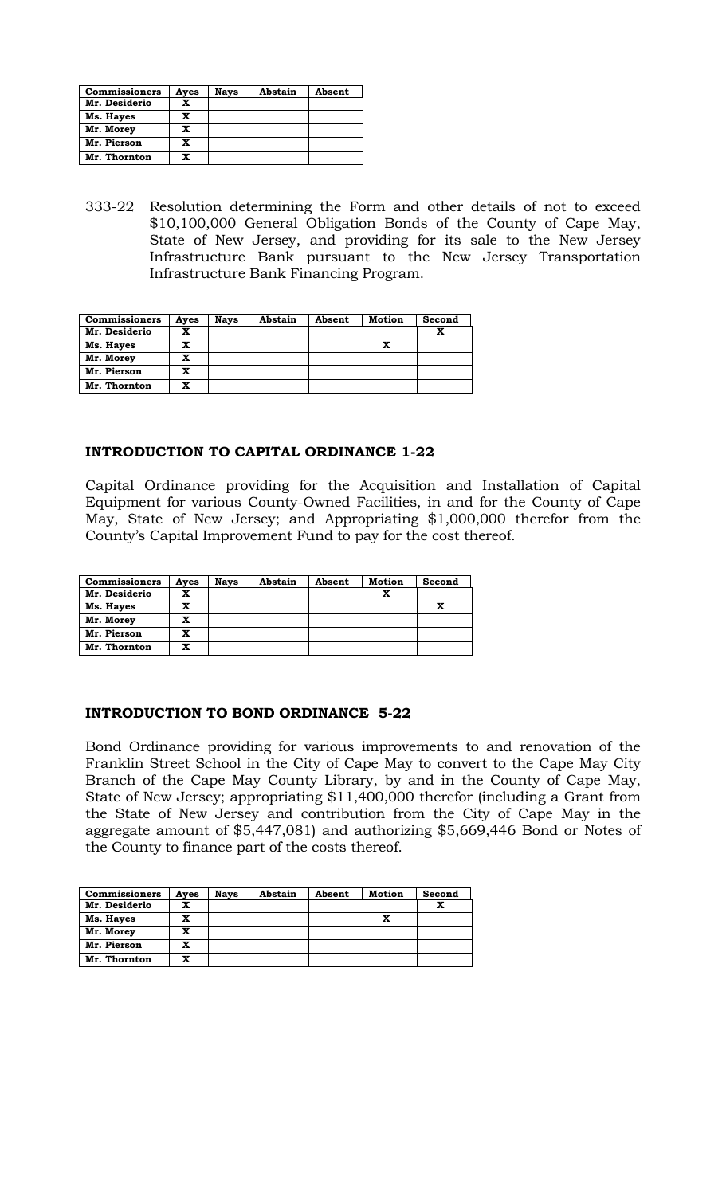| <b>Commissioners</b> | Ayes | <b>Nays</b> | Abstain | Absent |
|----------------------|------|-------------|---------|--------|
| Mr. Desiderio        | x    |             |         |        |
| Ms. Hayes            | X    |             |         |        |
| Mr. Morey            | X    |             |         |        |
| Mr. Pierson          | x    |             |         |        |
| Mr. Thornton         | x    |             |         |        |

333-22 Resolution determining the Form and other details of not to exceed \$10,100,000 General Obligation Bonds of the County of Cape May, State of New Jersey, and providing for its sale to the New Jersey Infrastructure Bank pursuant to the New Jersey Transportation Infrastructure Bank Financing Program.

| <b>Commissioners</b> | Aves | <b>Nays</b> | Abstain | Absent | Motion | Second |
|----------------------|------|-------------|---------|--------|--------|--------|
| Mr. Desiderio        | x    |             |         |        |        |        |
| Ms. Hayes            | x    |             |         |        | x      |        |
| Mr. Morey            | x    |             |         |        |        |        |
| Mr. Pierson          | x    |             |         |        |        |        |
| Mr. Thornton         | x    |             |         |        |        |        |

# **INTRODUCTION TO CAPITAL ORDINANCE 1-22**

Capital Ordinance providing for the Acquisition and Installation of Capital Equipment for various County-Owned Facilities, in and for the County of Cape May, State of New Jersey; and Appropriating \$1,000,000 therefor from the County's Capital Improvement Fund to pay for the cost thereof.

| <b>Commissioners</b> | Ayes | <b>Nays</b> | Abstain | Absent | <b>Motion</b> | Second |
|----------------------|------|-------------|---------|--------|---------------|--------|
| Mr. Desiderio        | x    |             |         |        | x             |        |
| Ms. Hayes            | x    |             |         |        |               |        |
| Mr. Morey            | x    |             |         |        |               |        |
| Mr. Pierson          | x    |             |         |        |               |        |
| Mr. Thornton         | x    |             |         |        |               |        |

# **INTRODUCTION TO BOND ORDINANCE 5-22**

Bond Ordinance providing for various improvements to and renovation of the Franklin Street School in the City of Cape May to convert to the Cape May City Branch of the Cape May County Library, by and in the County of Cape May, State of New Jersey; appropriating \$11,400,000 therefor (including a Grant from the State of New Jersey and contribution from the City of Cape May in the aggregate amount of \$5,447,081) and authorizing \$5,669,446 Bond or Notes of the County to finance part of the costs thereof.

| <b>Commissioners</b> | Aves | <b>Nays</b> | Abstain | Absent | <b>Motion</b> | Second |
|----------------------|------|-------------|---------|--------|---------------|--------|
| Mr. Desiderio        | x    |             |         |        |               | x      |
| Ms. Hayes            | x    |             |         |        | x             |        |
| Mr. Morey            | x    |             |         |        |               |        |
| Mr. Pierson          | x    |             |         |        |               |        |
| Mr. Thornton         | x    |             |         |        |               |        |